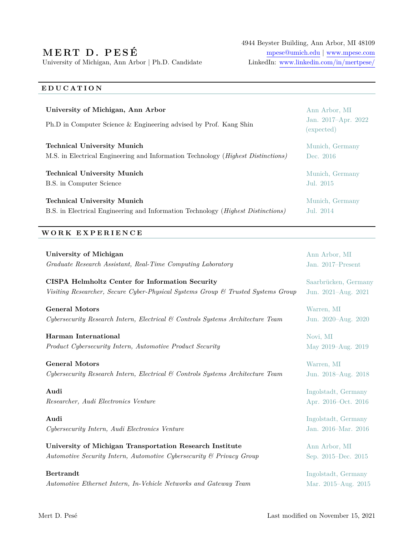# **M E RT D . P E S É**

University of Michigan, Ann Arbor | Ph.D. Candidate LinkedIn: [www.linkedin.com/in/mertpese/](https://www.linkedin.com/in/mertpese/)

4944 Beyster Building, Ann Arbor, MI 48109 [mpese@umich.edu](mailto:mpese@umich.edu) | [www.mpese.com](https://web.eecs.umich.edu/~mpese)

## **E D U C A T I O N**

| University of Michigan, Ann Arbor                                                         | Ann Arbor, MI                     |
|-------------------------------------------------------------------------------------------|-----------------------------------|
| Ph.D in Computer Science & Engineering advised by Prof. Kang Shin                         | Jan. 2017-Apr. 2022<br>(expected) |
| <b>Technical University Munich</b>                                                        | Munich, Germany                   |
| M.S. in Electrical Engineering and Information Technology ( <i>Highest Distinctions</i> ) | Dec. 2016                         |
| <b>Technical University Munich</b>                                                        | Munich, Germany                   |
| B.S. in Computer Science                                                                  | Jul. 2015                         |
| <b>Technical University Munich</b>                                                        | Munich, Germany                   |
| B.S. in Electrical Engineering and Information Technology ( <i>Highest Distinctions</i> ) | $\rm{Jul.}$ 2014                  |

### **W O R K E X P E R I E N C E**

| <b>University of Michigan</b>                                                    | Ann Arbor, MI        |
|----------------------------------------------------------------------------------|----------------------|
| Graduate Research Assistant, Real-Time Computing Laboratory                      | Jan. 2017–Present    |
| CISPA Helmholtz Center for Information Security                                  | Saarbrücken, Germany |
| Visiting Researcher, Secure Cyber-Physical Systems Group & Trusted Systems Group | Jun. 2021-Aug. 2021  |
| <b>General Motors</b>                                                            | Warren, MI           |
| Cybersecurity Research Intern, Electrical & Controls Systems Architecture Team   | Jun. 2020–Aug. 2020  |
| Harman International                                                             | Novi, MI             |
| Product Cybersecurity Intern, Automotive Product Security                        | May 2019–Aug. 2019   |
| <b>General Motors</b>                                                            | Warren, MI           |
| Cybersecurity Research Intern, Electrical & Controls Systems Architecture Team   | Jun. 2018-Aug. 2018  |
| Audi                                                                             | Ingolstadt, Germany  |
| Researcher, Audi Electronics Venture                                             | Apr. 2016–Oct. 2016  |
| Audi                                                                             | Ingolstadt, Germany  |
| Cybersecurity Intern, Audi Electronics Venture                                   | Jan. 2016-Mar. 2016  |
| University of Michigan Transportation Research Institute                         | Ann Arbor, MI        |
| Automotive Security Intern, Automotive Cybersecurity & Privacy Group             | Sep. 2015–Dec. 2015  |
| <b>Bertrandt</b>                                                                 | Ingolstadt, Germany  |
| Automotive Ethernet Intern, In-Vehicle Networks and Gateway Team                 | Mar. 2015-Aug. 2015  |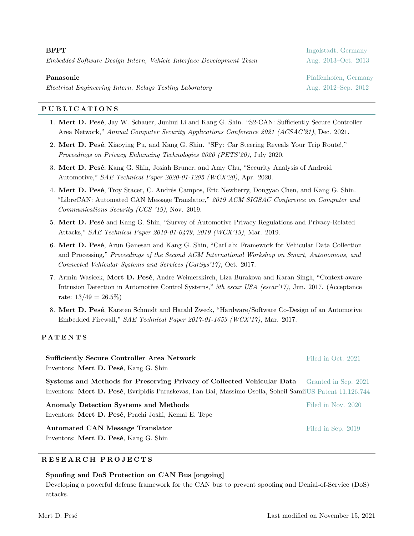| BFFT |                                                                     |
|------|---------------------------------------------------------------------|
|      | Embedded Software Design Intern, Vehicle Interface Development Team |
|      |                                                                     |

**BFFT** Ingolstadt, Germany *Embedded Software Design Intern, Vehicle Interface Development Team* Aug. 2013–Oct. 2013

**Panasonic** Pfaffenhofen, Germany

*Electrical Engineering Intern, Relays Testing Laboratory* **Aug. 2012–Sep. 2012–Sep. 2012–Sep. 2012–Sep. 2012–Sep. 2012** 

#### **P U B L I C A T I O N S**

- 1. **Mert D. Pesé**, Jay W. Schauer, Junhui Li and Kang G. Shin. "S2-CAN: Sufficiently Secure Controller Area Network," *Annual Computer Security Applications Conference 2021 (ACSAC'21)*, Dec. 2021.
- 2. **Mert D. Pesé**, Xiaoying Pu, and Kang G. Shin. "SPy: Car Steering Reveals Your Trip Route!," *Proceedings on Privacy Enhancing Technologies 2020 (PETS'20)*, July 2020.
- 3. **Mert D. Pesé**, Kang G. Shin, Josiah Bruner, and Amy Chu, "Security Analysis of Android Automotive," *SAE Technical Paper 2020-01-1295 (WCX'20)*, Apr. 2020.
- 4. **Mert D. Pesé**, Troy Stacer, C. Andrés Campos, Eric Newberry, Dongyao Chen, and Kang G. Shin. "LibreCAN: Automated CAN Message Translator," *2019 ACM SIGSAC Conference on Computer and Communications Security (CCS '19)*, Nov. 2019.
- 5. **Mert D. Pesé** and Kang G. Shin, "Survey of Automotive Privacy Regulations and Privacy-Related Attacks," *SAE Technical Paper 2019-01-0479, 2019 (WCX'19),* Mar. 2019.
- 6. **Mert D. Pesé**, Arun Ganesan and Kang G. Shin, "CarLab: Framework for Vehicular Data Collection and Processing," *Proceedings of the Second ACM International Workshop on Smart, Autonomous, and Connected Vehicular Systems and Services (CarSys'17),* Oct. 2017.
- 7. Armin Wasicek, **Mert D. Pesé**, Andre Weimerskirch, Liza Burakova and Karan Singh, "Context-aware Intrusion Detection in Automotive Control Systems," *5th escar USA (escar'17),* Jun. 2017. (Acceptance rate:  $13/49 = 26.5\%)$
- 8. **Mert D. Pesé**, Karsten Schmidt and Harald Zweck, "Hardware/Software Co-Design of an Automotive Embedded Firewall," *SAE Technical Paper 2017-01-1659 (WCX'17),* Mar. 2017.

#### **PA T E N T S**

| <b>Sufficiently Secure Controller Area Network</b><br>Inventors: Mert D. Pesé, Kang G. Shin                                                                                         | Filed in Oct. 2021   |
|-------------------------------------------------------------------------------------------------------------------------------------------------------------------------------------|----------------------|
| Systems and Methods for Preserving Privacy of Collected Vehicular Data<br>Inventors: Mert D. Pesé, Evripidis Paraskevas, Fan Bai, Massimo Osella, Soheil Samii US Patent 11,126,744 | Granted in Sep. 2021 |
| Anomaly Detection Systems and Methods<br>Inventors: Mert D. Pesé, Prachi Joshi, Kemal E. Tepe                                                                                       | Filed in Nov. 2020   |
| Automated CAN Message Translator<br>Inventors: Mert D. Pesé, Kang G. Shin                                                                                                           | Filed in Sep. 2019   |

#### **R E S E A R C H P R O J E C T S**

#### **Spoofing and DoS Protection on CAN Bus [ongoing]**

Developing a powerful defense framework for the CAN bus to prevent spoofing and Denial-of-Service (DoS) attacks.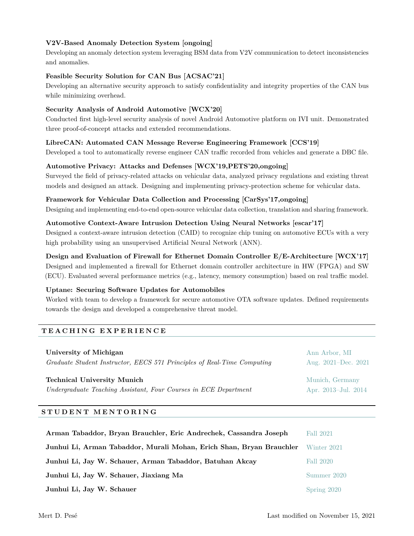#### **V2V-Based Anomaly Detection System [ongoing]**

Developing an anomaly detection system leveraging BSM data from V2V communication to detect inconsistencies and anomalies.

#### **Feasible Security Solution for CAN Bus [ACSAC'21]**

Developing an alternative security approach to satisfy confidentiality and integrity properties of the CAN bus while minimizing overhead.

### **Security Analysis of Android Automotive [WCX'20]**

Conducted first high-level security analysis of novel Android Automotive platform on IVI unit. Demonstrated three proof-of-concept attacks and extended recommendations.

#### **LibreCAN: Automated CAN Message Reverse Engineering Framework [CCS'19]**

Developed a tool to automatically reverse engineer CAN traffic recorded from vehicles and generate a DBC file.

#### **Automotive Privacy: Attacks and Defenses [WCX'19,PETS'20,ongoing]**

Surveyed the field of privacy-related attacks on vehicular data, analyzed privacy regulations and existing threat models and designed an attack. Designing and implementing privacy-protection scheme for vehicular data.

#### **Framework for Vehicular Data Collection and Processing [CarSys'17,ongoing]**

Designing and implementing end-to-end open-source vehicular data collection, translation and sharing framework.

#### **Automotive Context-Aware Intrusion Detection Using Neural Networks [escar'17]**

Designed a context-aware intrusion detection (CAID) to recognize chip tuning on automotive ECUs with a very high probability using an unsupervised Artificial Neural Network (ANN).

#### **Design and Evaluation of Firewall for Ethernet Domain Controller E/E-Architecture [WCX'17]** Designed and implemented a firewall for Ethernet domain controller architecture in HW (FPGA) and SW

(ECU). Evaluated several performance metrics (e.g., latency, memory consumption) based on real traffic model.

#### **Uptane: Securing Software Updates for Automobiles**

Worked with team to develop a framework for secure automotive OTA software updates. Defined requirements towards the design and developed a comprehensive threat model.

#### **T E A C H I N G E X P E R I E N C E**

| University of Michigan                                                  | Ann Arbor, MI           |
|-------------------------------------------------------------------------|-------------------------|
| Graduate Student Instructor, EECS 571 Principles of Real-Time Computing | Aug. $2021 - Dec. 2021$ |
| <b>Technical University Munich</b>                                      | Munich, Germany         |
| Undergraduate Teaching Assistant, Four Courses in ECE Department        | Apr. 2013-Jul. 2014     |

#### **S T U D E N T M E N T O R I N G**

| Arman Tabaddor, Bryan Brauchler, Eric Andrechek, Cassandra Joseph    | <b>Fall 2021</b> |
|----------------------------------------------------------------------|------------------|
| Junhui Li, Arman Tabaddor, Murali Mohan, Erich Shan, Bryan Brauchler | Winter 2021      |
| Junhui Li, Jay W. Schauer, Arman Tabaddor, Batuhan Akcay             | Fall 2020        |
| Junhui Li, Jay W. Schauer, Jiaxiang Ma                               | Summer 2020      |
| Junhui Li, Jay W. Schauer                                            | Spring 2020      |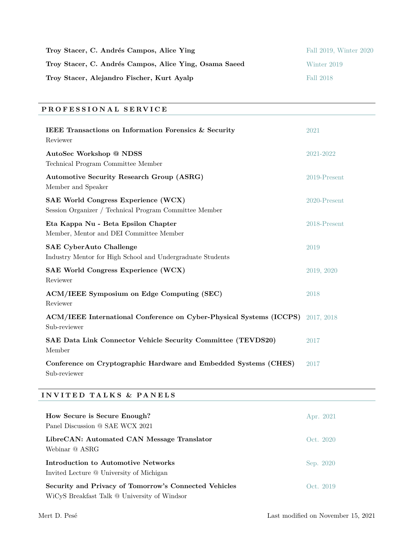| Troy Stacer, C. Andrés Campos, Alice Ying              | Fall 2019, Winter 2020 |
|--------------------------------------------------------|------------------------|
| Troy Stacer, C. Andrés Campos, Alice Ying, Osama Saeed | Winter 2019            |
| Troy Stacer, Alejandro Fischer, Kurt Ayalp             | Fall 2018              |

# **P R O F E S S I O N A L S E RV I C E**

| IEEE Transactions on Information Forensics & Security<br>Reviewer                                    | 2021         |
|------------------------------------------------------------------------------------------------------|--------------|
| AutoSec Workshop @ NDSS<br>Technical Program Committee Member                                        | 2021-2022    |
| <b>Automotive Security Research Group (ASRG)</b><br>Member and Speaker                               | 2019-Present |
| <b>SAE World Congress Experience (WCX)</b><br>Session Organizer / Technical Program Committee Member | 2020-Present |
| Eta Kappa Nu - Beta Epsilon Chapter<br>Member, Mentor and DEI Committee Member                       | 2018-Present |
| <b>SAE CyberAuto Challenge</b><br>Industry Mentor for High School and Undergraduate Students         | 2019         |
| <b>SAE World Congress Experience (WCX)</b><br>Reviewer                                               | 2019, 2020   |
| ACM/IEEE Symposium on Edge Computing (SEC)<br>Reviewer                                               | 2018         |
| ACM/IEEE International Conference on Cyber-Physical Systems (ICCPS)<br>Sub-reviewer                  | 2017, 2018   |
| SAE Data Link Connector Vehicle Security Committee (TEVDS20)<br>Member                               | 2017         |
| Conference on Cryptographic Hardware and Embedded Systems (CHES)<br>Sub-reviewer                     | 2017         |

# **I N V I T E D TA L K S & PA N E L S**

| How Secure is Secure Enough?<br>Panel Discussion @ SAE WCX 2021                                       | Apr. 2021 |
|-------------------------------------------------------------------------------------------------------|-----------|
| LibreCAN: Automated CAN Message Translator<br>Webinar @ ASRG                                          | Oct. 2020 |
| Introduction to Automotive Networks<br>Invited Lecture @ University of Michigan                       | Sep. 2020 |
| Security and Privacy of Tomorrow's Connected Vehicles<br>WiCyS Breakfast Talk @ University of Windsor | Oct. 2019 |